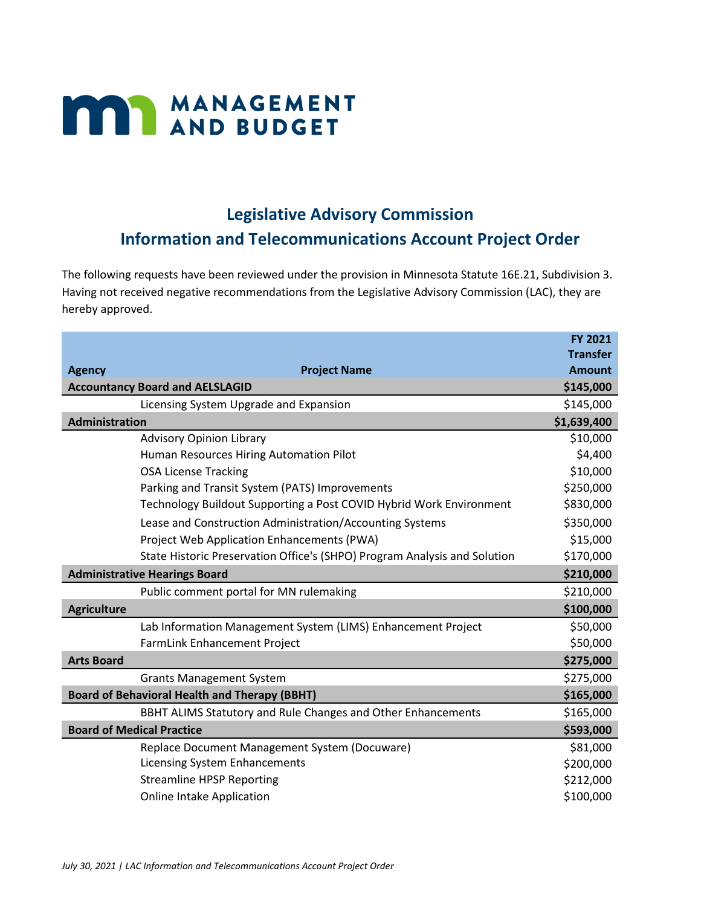## **MANAGEMENT**

## **Legislative Advisory Commission**

## **Information and Telecommunications Account Project Order**

The following requests have been reviewed under the provision in Minnesota Statute 16E.21, Subdivision 3. Having not received negative recommendations from the Legislative Advisory Commission (LAC), they are hereby approved.

|                                                      |                                                                           | <b>FY 2021</b>  |
|------------------------------------------------------|---------------------------------------------------------------------------|-----------------|
|                                                      |                                                                           | <b>Transfer</b> |
| <b>Agency</b>                                        | <b>Project Name</b>                                                       | <b>Amount</b>   |
|                                                      | <b>Accountancy Board and AELSLAGID</b>                                    | \$145,000       |
|                                                      | Licensing System Upgrade and Expansion                                    | \$145,000       |
| <b>Administration</b>                                |                                                                           | \$1,639,400     |
|                                                      | <b>Advisory Opinion Library</b>                                           | \$10,000        |
|                                                      | Human Resources Hiring Automation Pilot                                   | \$4,400         |
|                                                      | <b>OSA License Tracking</b>                                               | \$10,000        |
|                                                      | Parking and Transit System (PATS) Improvements                            | \$250,000       |
|                                                      | Technology Buildout Supporting a Post COVID Hybrid Work Environment       | \$830,000       |
|                                                      | Lease and Construction Administration/Accounting Systems                  | \$350,000       |
|                                                      | Project Web Application Enhancements (PWA)                                | \$15,000        |
|                                                      | State Historic Preservation Office's (SHPO) Program Analysis and Solution | \$170,000       |
| <b>Administrative Hearings Board</b>                 |                                                                           | \$210,000       |
|                                                      | Public comment portal for MN rulemaking                                   | \$210,000       |
| <b>Agriculture</b>                                   |                                                                           | \$100,000       |
|                                                      | Lab Information Management System (LIMS) Enhancement Project              | \$50,000        |
|                                                      | <b>FarmLink Enhancement Project</b>                                       | \$50,000        |
| <b>Arts Board</b>                                    |                                                                           | \$275,000       |
|                                                      | <b>Grants Management System</b>                                           | \$275,000       |
| <b>Board of Behavioral Health and Therapy (BBHT)</b> |                                                                           | \$165,000       |
|                                                      | BBHT ALIMS Statutory and Rule Changes and Other Enhancements              | \$165,000       |
| <b>Board of Medical Practice</b>                     |                                                                           | \$593,000       |
|                                                      | Replace Document Management System (Docuware)                             | \$81,000        |
|                                                      | <b>Licensing System Enhancements</b>                                      | \$200,000       |
|                                                      | <b>Streamline HPSP Reporting</b>                                          | \$212,000       |
|                                                      | <b>Online Intake Application</b>                                          | \$100,000       |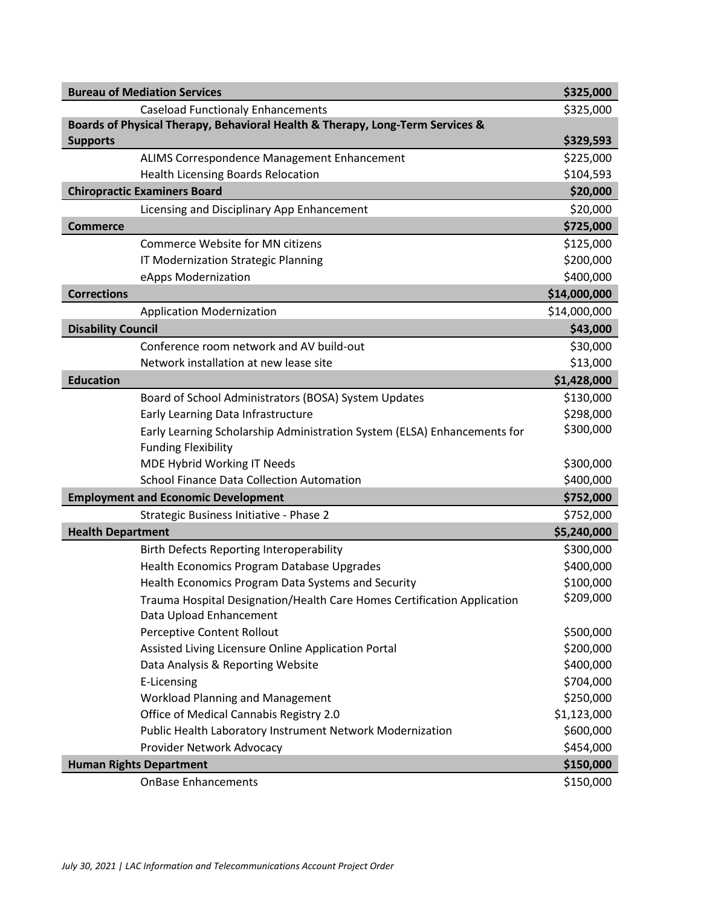| <b>Bureau of Mediation Services</b>                                           |              |
|-------------------------------------------------------------------------------|--------------|
| <b>Caseload Functionaly Enhancements</b>                                      | \$325,000    |
| Boards of Physical Therapy, Behavioral Health & Therapy, Long-Term Services & |              |
| <b>Supports</b>                                                               | \$329,593    |
| ALIMS Correspondence Management Enhancement                                   | \$225,000    |
| <b>Health Licensing Boards Relocation</b>                                     | \$104,593    |
| <b>Chiropractic Examiners Board</b>                                           | \$20,000     |
| Licensing and Disciplinary App Enhancement                                    | \$20,000     |
| <b>Commerce</b>                                                               | \$725,000    |
| Commerce Website for MN citizens                                              | \$125,000    |
| IT Modernization Strategic Planning                                           | \$200,000    |
| eApps Modernization                                                           | \$400,000    |
| <b>Corrections</b>                                                            | \$14,000,000 |
| <b>Application Modernization</b>                                              | \$14,000,000 |
| <b>Disability Council</b>                                                     | \$43,000     |
| Conference room network and AV build-out                                      | \$30,000     |
| Network installation at new lease site                                        | \$13,000     |
| <b>Education</b>                                                              | \$1,428,000  |
| Board of School Administrators (BOSA) System Updates                          | \$130,000    |
| Early Learning Data Infrastructure                                            | \$298,000    |
| Early Learning Scholarship Administration System (ELSA) Enhancements for      | \$300,000    |
| <b>Funding Flexibility</b>                                                    |              |
| MDE Hybrid Working IT Needs                                                   | \$300,000    |
| <b>School Finance Data Collection Automation</b>                              | \$400,000    |
| <b>Employment and Economic Development</b>                                    |              |
| Strategic Business Initiative - Phase 2                                       | \$752,000    |
| <b>Health Department</b>                                                      | \$5,240,000  |
| <b>Birth Defects Reporting Interoperability</b>                               | \$300,000    |
| Health Economics Program Database Upgrades                                    | \$400,000    |
| Health Economics Program Data Systems and Security                            | \$100,000    |
| Trauma Hospital Designation/Health Care Homes Certification Application       | \$209,000    |
| Data Upload Enhancement                                                       |              |
| Perceptive Content Rollout                                                    | \$500,000    |
| Assisted Living Licensure Online Application Portal                           | \$200,000    |
| Data Analysis & Reporting Website                                             | \$400,000    |
| E-Licensing                                                                   | \$704,000    |
| <b>Workload Planning and Management</b>                                       | \$250,000    |
| Office of Medical Cannabis Registry 2.0                                       | \$1,123,000  |
| Public Health Laboratory Instrument Network Modernization                     | \$600,000    |
| Provider Network Advocacy                                                     | \$454,000    |
| <b>Human Rights Department</b>                                                |              |
| <b>OnBase Enhancements</b>                                                    | \$150,000    |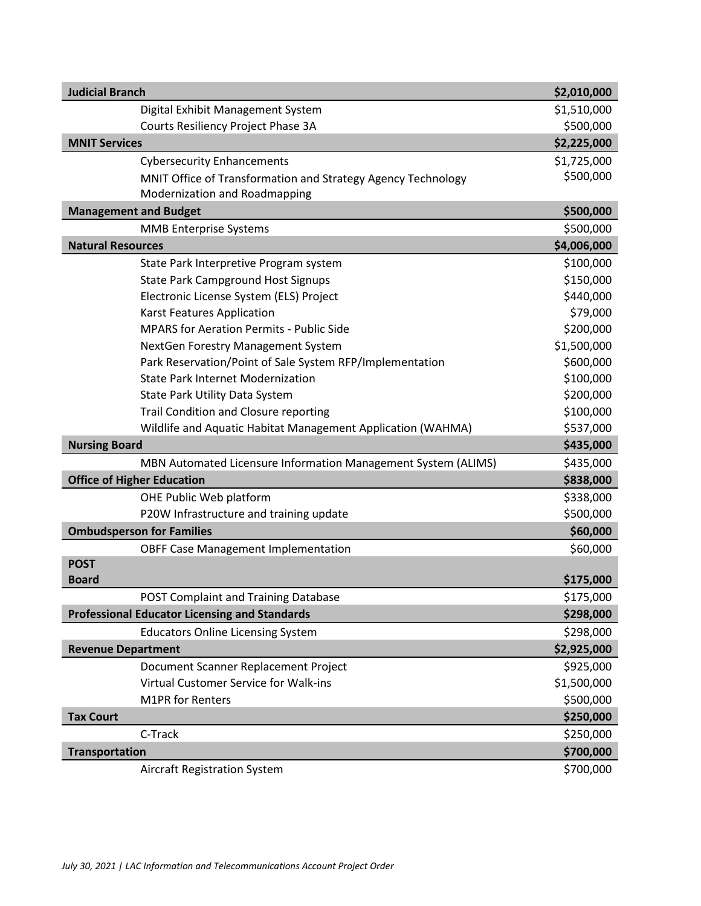| <b>Judicial Branch</b>                                        | \$2,010,000 |
|---------------------------------------------------------------|-------------|
| Digital Exhibit Management System                             | \$1,510,000 |
| Courts Resiliency Project Phase 3A                            | \$500,000   |
| <b>MNIT Services</b>                                          | \$2,225,000 |
| <b>Cybersecurity Enhancements</b>                             | \$1,725,000 |
| MNIT Office of Transformation and Strategy Agency Technology  | \$500,000   |
| Modernization and Roadmapping                                 |             |
| <b>Management and Budget</b>                                  | \$500,000   |
| <b>MMB Enterprise Systems</b>                                 | \$500,000   |
| <b>Natural Resources</b>                                      | \$4,006,000 |
| State Park Interpretive Program system                        | \$100,000   |
| <b>State Park Campground Host Signups</b>                     | \$150,000   |
| Electronic License System (ELS) Project                       | \$440,000   |
| <b>Karst Features Application</b>                             | \$79,000    |
| <b>MPARS for Aeration Permits - Public Side</b>               | \$200,000   |
| NextGen Forestry Management System                            | \$1,500,000 |
| Park Reservation/Point of Sale System RFP/Implementation      | \$600,000   |
| <b>State Park Internet Modernization</b>                      | \$100,000   |
| State Park Utility Data System                                | \$200,000   |
| <b>Trail Condition and Closure reporting</b>                  | \$100,000   |
| Wildlife and Aquatic Habitat Management Application (WAHMA)   | \$537,000   |
| <b>Nursing Board</b>                                          | \$435,000   |
| MBN Automated Licensure Information Management System (ALIMS) | \$435,000   |
| <b>Office of Higher Education</b>                             | \$838,000   |
| OHE Public Web platform                                       | \$338,000   |
| P20W Infrastructure and training update                       | \$500,000   |
| <b>Ombudsperson for Families</b>                              | \$60,000    |
| <b>OBFF Case Management Implementation</b>                    | \$60,000    |
| <b>POST</b>                                                   |             |
| <b>Board</b>                                                  | \$175,000   |
| POST Complaint and Training Database                          | \$175,000   |
| <b>Professional Educator Licensing and Standards</b>          | \$298,000   |
| <b>Educators Online Licensing System</b>                      | \$298,000   |
| <b>Revenue Department</b>                                     | \$2,925,000 |
| Document Scanner Replacement Project                          | \$925,000   |
| Virtual Customer Service for Walk-ins                         | \$1,500,000 |
| <b>M1PR</b> for Renters                                       | \$500,000   |
| <b>Tax Court</b>                                              | \$250,000   |
| C-Track                                                       | \$250,000   |
| <b>Transportation</b>                                         | \$700,000   |
| Aircraft Registration System                                  | \$700,000   |